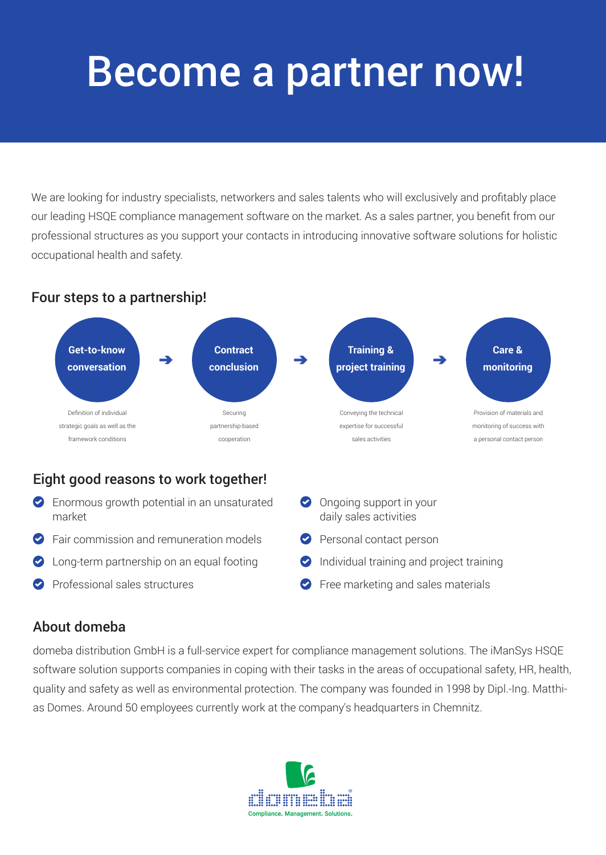# Become a partner now!

We are looking for industry specialists, networkers and sales talents who will exclusively and profitably place our leading HSQE compliance management software on the market. As a sales partner, you benefit from our professional structures as you support your contacts in introducing innovative software solutions for holistic occupational health and safety.

### Four steps to a partnership!



Ongoing support in your daily sales activities

**Personal contact person** 

**Individual training and project training** 

**P** Free marketing and sales materials

## Eight good reasons to work together!

- **Enormous growth potential in an unsaturated** market
- **P** Fair commission and remuneration models
- Long-term partnership on an equal footing
- Professional sales structures

# About domeba

domeba distribution GmbH is a full-service expert for compliance management solutions. The iManSys HSQE software solution supports companies in coping with their tasks in the areas of occupational safety, HR, health, quality and safety as well as environmental protection. The company was founded in 1998 by Dipl.-Ing. Matthias Domes. Around 50 employees currently work at the company's headquarters in Chemnitz.